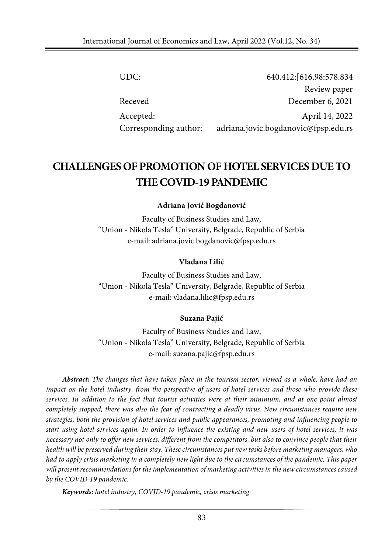| UDC:                  | 640.412: [616.98:578.834             |
|-----------------------|--------------------------------------|
|                       | Review paper                         |
| Receved               | December 6, 2021                     |
| Accepted:             | April 14, 2022                       |
| Corresponding author: | adriana.jovic.bogdanovic@fpsp.edu.rs |

# **CHALLENGESOFPROMOTIONOFHOTEL SERVICESDUETO THE COVID-19 PANDEMIC**

**Adriana Jović Bogdanović**

Faculty of Business Studies and Law, "Union - Nikola Tesla" University, Belgrade, Republic of Serbia e-mail: adriana.jovic.bogdanovic@fpsp.edu.rs

#### **Vladana Lilić**

Faculty of Business Studies and Law, "Union - Nikola Tesla" University, Belgrade, Republic of Serbia e-mail: vladana.lilic@fpsp.edu.rs

#### **Suzana Pajić**

Faculty of Business Studies and Law, "Union - Nikola Tesla" University, Belgrade, Republic of Serbia e-mail: suzana.pajic@fpsp.edu.rs

*Abstract: The changes that have taken place in the tourism sector, viewed as a whole, have had an* impact on the hotel industry, from the perspective of users of hotel services and those who provide these services. In addition to the fact that tourist activities were at their minimum, and at one point almost *completely stopped, there was also the fear of contracting a deadly virus. New circumstances require new strategies, both the provision of hotel services and public appearances, promoting and influencing people to* start using hotel services again. In order to influence the existing and new users of hotel services, it was necessary not only to offer new services, different from the competitors, but also to convince people that their *health will be preserved during their stay. These circumstances put new tasks before marketing managers, who* had to apply crisis marketing in a completely new light due to the circumstances of the pandemic. This paper *will present recommendations for the implementation of marketing activities in the new circumstancescaused by the COVID-19 pandemic.*

*Keywords: hotel industry, COVID-19 pandemic, crisis marketing*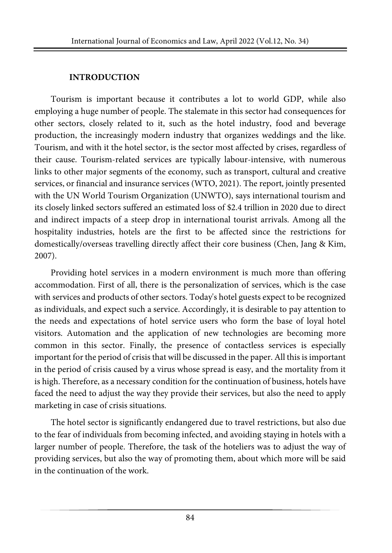#### **INTRODUCTION**

Tourism is important because it contributes a lot to world GDP, while also employing a huge number of people. The stalemate in this sector had consequences for other sectors, closely related to it, such as the hotel industry, food and beverage production, the increasingly modern industry that organizes weddings and the like. Tourism, and with it the hotel sector, is the sector most affected by crises, regardless of their cause. Tourism-related services are typically labour-intensive, with numerous links to other major segments of the economy, such as transport, cultural and creative services, or financial and insurance services (WTO, 2021). The report, jointly [presented](https://unctad.org/news/global-economy-could-lose-over-4-trillion-due-covid-19-impact-tourism) with the UN World Tourism [Organization](https://unctad.org/news/global-economy-could-lose-over-4-trillion-due-covid-19-impact-tourism) (UNWTO), says international tourism and its closely linked sectors suffered an estimated loss of \$2.4 trillion in 2020 due to direct and indirect impacts of a steep drop in international tourist arrivals. Among all the hospitality industries, hotels are the first to be affected since the restrictions for domestically/overseas travelling directly affect their core business (Chen, Jang & Kim, 2007).

Providing hotel services in a modern environment is much more than offering accommodation. First of all, there is the personalization of services, which is the case with services and products of other sectors. Today's hotel guests expect to be recognized as individuals, and expect such a service. Accordingly, it is desirable to pay attention to the needs and expectations of hotel service users who form the base of loyal hotel visitors. Automation and the application of new technologies are becoming more common in this sector. Finally, the presence of contactless services is especially important for the period of crisis that will be discussed in the paper. All this is important in the period of crisis caused by a virus whose spread is easy, and the mortality from it is high. Therefore, as a necessary condition for the continuation of business, hotels have faced the need to adjust the way they provide their services, but also the need to apply marketing in case of crisis situations.

The hotel sector is significantly endangered due to travel restrictions, but also due to the fear of individuals from becoming infected, and avoiding staying in hotels with a larger number of people. Therefore, the task of the hoteliers was to adjust the way of providing services, but also the way of promoting them, about which more will be said in the continuation of the work.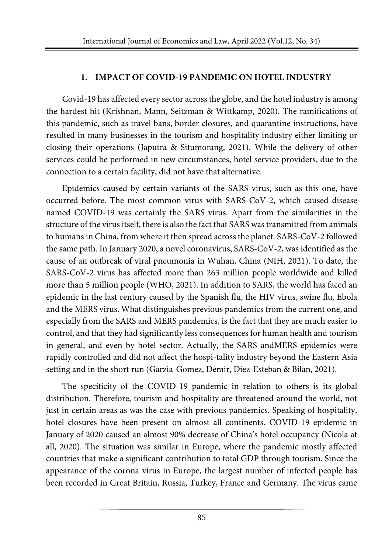### **1. IMPACT OF COVID-19 PANDEMIC ON HOTEL INDUSTRY**

Covid-19 has affected every sector across the globe, and the hotel industry is among the hardest hit (Krishnan, Mann, Seitzman & Wittkamp, 2020). The ramifications of this pandemic, such as travel bans, border closures, and quarantine instructions, have resulted in many businesses in the tourism and hospitality industry either limiting or closing their operations (Japutra & Situmorang, 2021). While the delivery of other services could be performed in new circumstances, hotel service providers, due to the connection to a certain facility, did not have that alternative.

Epidemics caused by certain variants of the SARS virus, such as this one, have occurred before. The most common virus with SARS-CoV-2, which caused disease named COVID-19 was certainly the SARS virus. Apart from the similarities in the structure of the virus itself, there is also the fact that SARS was transmitted from animals to humans in China, from where it then spread acrossthe planet. SARS-CoV-2 followed the same path. In January 2020, a novel coronavirus, SARS-CoV-2, was identified as the cause of an outbreak of viral pneumonia in Wuhan, China (NIH, 2021). To date, the SARS-CoV-2 virus has affected more than 263 million people worldwide and killed more than 5 million people (WHO, 2021). In addition to SARS, the world has faced an epidemic in the last century caused by the Spanish flu, the HIV virus, swine flu, Ebola and the MERS virus. What distinguishes previous pandemics from the current one, and especially from the SARS and MERS pandemics, is the fact that they are much easier to control, and that they had significantly less consequences for human health and tourism in general, and even by hotel sector. Actually, the SARS andMERS epidemics were rapidly controlled and did not affect the hospi-tality industry beyond the Eastern Asia setting and in the short run (Garzia-Gomez, Demir, Diez-Esteban & Bilan, 2021).

The specificity of the COVID-19 pandemic in relation to others is its global distribution. Therefore, tourism and hospitality are threatened around the world, not just in certain areas as was the case with previous pandemics. Speaking of hospitality, hotel closures have been present on almost all continents. COVID-19 epidemic in January of 2020 caused an almost 90% decrease of China's hotel occupancy (Nicola at all, 2020). The situation was similar in Europe, where the pandemic mostly affected countries that make a significant contribution to total GDP through tourism. Since the appearance of the corona virus in Europe, the largest number of infected people has been recorded in Great Britain, Russia, Turkey, France and Germany. The virus came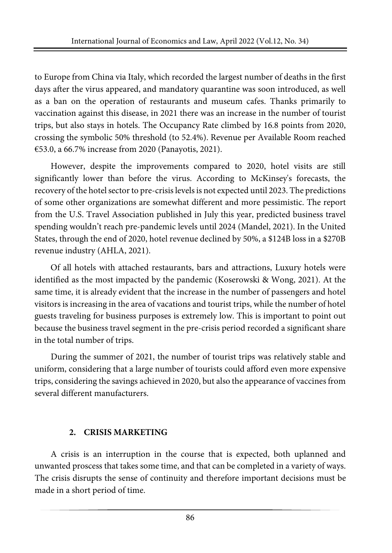to Europe from China via Italy, which recorded the largest number of deaths in the first days after the virus appeared, and mandatory quarantine was soon introduced, as well as a ban on the operation of restaurants and museum cafes. Thanks primarily to vaccination against this disease, in 2021 there was an increase in the number of tourist trips, but also stays in hotels. The Occupancy Rate climbed by 16.8 points from 2020, crossing the symbolic 50% threshold (to 52.4%). Revenue per Available Room reached €53.0, a 66.7% increase from 2020 (Panayotis, 2021).

However, despite the improvements compared to 2020, hotel visits are still significantly lower than before the virus. According to McKinsey's forecasts, the recovery of the hotel sector to pre-crisis levels is not expected until 2023. The predictions of some other organizations are somewhat different and more pessimistic. The report from the U.S. Travel Association published in July this year, predicted business travel spending wouldn't reach pre-pandemic levels until 2024 (Mandel, 2021). In the United States, through the end of 2020, hotel revenue declined by 50%, a \$124B loss in a \$270B revenue industry (AHLA, 2021).

Of all hotels with attached restaurants, bars and attractions, Luxury hotels were identified as the most impacted by the pandemic (Koserowski & Wong, 2021). At the same time, it is already evident that the increase in the number of passengers and hotel visitors is increasing in the area of vacations and tourist trips, while the number of hotel guests traveling for business purposes is extremely low. This is important to point out because the business travel segment in the pre-crisis period recorded a significant share in the total number of trips.

During the summer of 2021, the number of tourist trips was relatively stable and uniform, considering that a large number of tourists could afford even more expensive trips, considering the savings achieved in 2020, but also the appearance of vaccinesfrom several different manufacturers.

### **2. CRISIS MARKETING**

A crisis is an interruption in the course that is expected, both uplanned and unwanted proscess that takes some time, and that can be completed in a variety of ways. The crisis disrupts the sense of continuity and therefore important decisions must be made in a short period of time.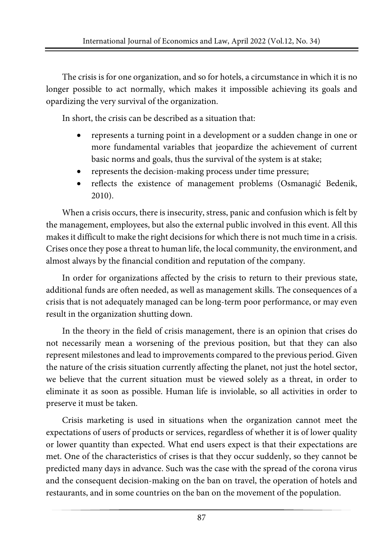The crisis is for one organization, and so for hotels, a circumstance in which it is no longer possible to act normally, which makes it impossible achieving its goals and opardizing the very survival of the organization.

In short, the crisis can be described as a situation that:

- represents a turning point in a development or a sudden change in one or more fundamental variables that jeopardize the achievement of current basic norms and goals, thus the survival of the system is at stake;
- represents the decision-making process under time pressure;
- reflects the existence of management problems (Osmanagić Bedenik, 2010).

When a crisis occurs, there is insecurity, stress, panic and confusion which is felt by the management, employees, but also the external public involved in this event. All this makes it difficult to make the right decisions for which there is not much time in a crisis. Crises once they pose a threat to human life, the local community, the environment, and almost always by the financial condition and reputation of the company.

In order for organizations affected by the crisis to return to their previous state, additional funds are often needed, as well as management skills. The consequences of a crisis that is not adequately managed can be long-term poor performance, or may even result in the organization shutting down.

In the theory in the field of crisis management, there is an opinion that crises do not necessarily mean a worsening of the previous position, but that they can also represent milestones and lead to improvements compared to the previous period. Given the nature of the crisis situation currently affecting the planet, not just the hotel sector, we believe that the current situation must be viewed solely as a threat, in order to eliminate it as soon as possible. Human life is inviolable, so all activities in order to preserve it must be taken.

Crisis marketing is used in situations when the organization cannot meet the expectations of users of products or services, regardless of whether it is of lower quality or lower quantity than expected. What end users expect is that their expectations are met. One of the characteristics of crises is that they occur suddenly, so they cannot be predicted many days in advance. Such was the case with the spread of the corona virus and the consequent decision-making on the ban on travel, the operation of hotels and restaurants, and in some countries on the ban on the movement of the population.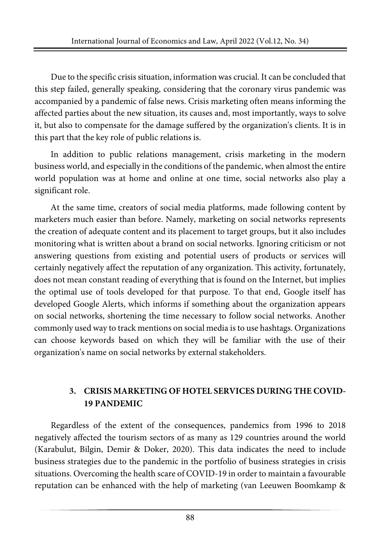Due to the specific crisis situation, information was crucial. It can be concluded that this step failed, generally speaking, considering that the coronary virus pandemic was accompanied by a pandemic of false news. Crisis marketing often means informing the affected parties about the new situation, its causes and, most importantly, ways to solve it, but also to compensate for the damage suffered by the organization's clients. It is in this part that the key role of public relations is.

In addition to public relations management, crisis marketing in the modern business world, and especially in the conditions of the pandemic, when almost the entire world population was at home and online at one time, social networks also play a significant role.

At the same time, creators of social media platforms, made following content by marketers much easier than before. Namely, marketing on social networks represents the creation of adequate content and its placement to target groups, but it also includes monitoring what is written about a brand on social networks. Ignoring criticism or not answering questions from existing and potential users of products or services will certainly negatively affect the reputation of any organization. This activity, fortunately, does not mean constant reading of everything that is found on the Internet, but implies the optimal use of tools developed for that purpose. To that end, Google itself has developed Google Alerts, which informs if something about the organization appears on social networks, shortening the time necessary to follow social networks. Another commonly used way to track mentions on social media is to use hashtags. Organizations can choose keywords based on which they will be familiar with the use of their organization's name on social networks by external stakeholders.

### **3. CRISIS MARKETING OF HOTEL SERVICES DURING THE COVID-19 PANDEMIC**

Regardless of the extent of the consequences, pandemics from 1996 to 2018 negatively affected the tourism sectors of as many as 129 countries around the world (Karabulut, Bilgin, Demir & Doker, 2020). This data indicates the need to include business strategies due to the pandemic in the portfolio of business strategies in crisis situations. Overcoming the health scare of COVID-19 in order to maintain a favourable reputation can be enhanced with the help of marketing (van Leeuwen Boomkamp &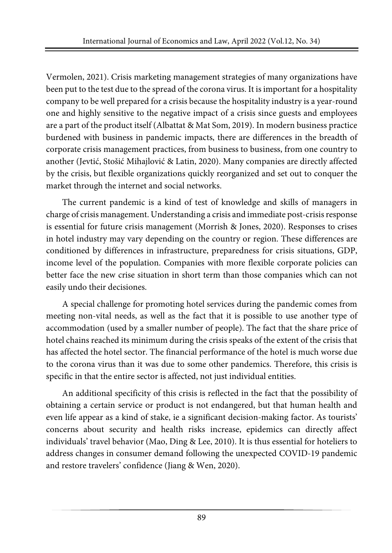Vermolen, 2021). Crisis marketing management strategies of many organizations have been put to the test due to the spread of the corona virus. It is important for a hospitality company to be well prepared for a crisis because the hospitality industry is a year-round one and highly sensitive to the negative impact of a crisis since guests and employees are a part of the product itself (Albattat & Mat Som, 2019). In modern business practice burdened with business in pandemic impacts, there are differences in the breadth of corporate crisis management practices, from business to business, from one country to another (Jevtić, Stošić Mihajlović & Latin, 2020). Many companies are directly affected by the crisis, but flexible organizations quickly reorganized and set out to conquer the market through the internet and social networks.

The current pandemic is a kind of test of knowledge and skills of managers in charge of crisis management. Understanding a crisis and immediate post-crisisresponse is essential for future crisis management (Morrish & Jones, 2020). Responses to crises in hotel industry may vary depending on the country or region. These differences are conditioned by differences in infrastructure, preparedness for crisis situations, GDP, income level of the population. Companies with more flexible corporate policies can better face the new crise situation in short term than those companies which can not easily undo their decisiones.

A special challenge for promoting hotel services during the pandemic comes from meeting non-vital needs, as well as the fact that it is possible to use another type of accommodation (used by a smaller number of people). The fact that the share price of hotel chains reached its minimum during the crisis speaks of the extent of the crisis that has affected the hotel sector. The financial performance of the hotel is much worse due to the corona virus than it was due to some other pandemics. Therefore, this crisis is specific in that the entire sector is affected, not just individual entities.

An additional specificity of this crisis is reflected in the fact that the possibility of obtaining a certain service or product is not endangered, but that human health and even life appear as a kind of stake, ie a significant decision-making factor. As tourists' concerns about security and health risks increase, epidemics can directly affect individuals' travel behavior (Mao, Ding & Lee, 2010). It is thus essential for hoteliers to address changes in consumer demand following the unexpected COVID-19 pandemic and restore travelers' confidence (Jiang & Wen, 2020).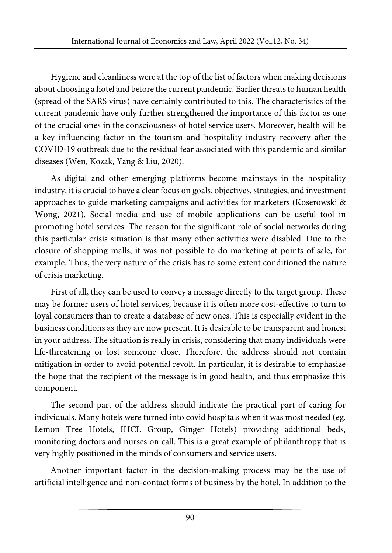Hygiene and cleanliness were at the top of the list of factors when making decisions about choosing a hotel and before the current pandemic. Earlier threats to human health (spread of the SARS virus) have certainly contributed to this. The characteristics of the current pandemic have only further strengthened the importance of this factor as one of the crucial ones in the consciousness of hotel service users. Moreover, health will be a key influencing factor in the tourism and hospitality industry recovery after the COVID-19 outbreak due to the residual fear associated with this pandemic and similar diseases (Wen, Kozak, Yang & Liu, 2020).

As digital and other emerging platforms become mainstays in the hospitality industry, it is crucial to have a clear focus on goals, objectives, strategies, and investment approaches to guide marketing campaigns and activities for marketers (Koserowski & Wong, 2021). Social media and use of mobile applications can be useful tool in promoting hotel services. The reason for the significant role of social networks during this particular crisis situation is that many other activities were disabled. Due to the closure of shopping malls, it was not possible to do marketing at points of sale, for example. Thus, the very nature of the crisis has to some extent conditioned the nature of crisis marketing.

First of all, they can be used to convey a message directly to the target group. These may be former users of hotel services, because it is often more cost-effective to turn to loyal consumers than to create a database of new ones. This is especially evident in the business conditions as they are now present. It is desirable to be transparent and honest in your address. The situation is really in crisis, considering that many individuals were life-threatening or lost someone close. Therefore, the address should not contain mitigation in order to avoid potential revolt. In particular, it is desirable to emphasize the hope that the recipient of the message is in good health, and thus emphasize this component.

The second part of the address should indicate the practical part of caring for individuals. Many hotels were turned into covid hospitals when it was most needed (eg. Lemon Tree Hotels, IHCL Group, Ginger Hotels) providing additional beds, monitoring doctors and nurses on call. This is a great example of philanthropy that is very highly positioned in the minds of consumers and service users.

Another important factor in the decision-making process may be the use of artificial intelligence and non-contact forms of business by the hotel. In addition to the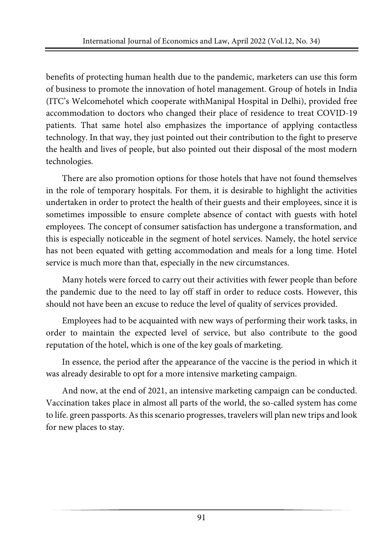benefits of protecting human health due to the pandemic, marketers can use this form of business to promote the innovation of hotel management. Group of hotels in India (ITC's Welcomehotel which cooperate withManipal Hospital in Delhi), provided free accommodation to doctors who changed their place of residence to treat COVID-19 patients. That same hotel also emphasizes the importance of applying contactless technology. In that way, they just pointed out their contribution to the fight to preserve the health and lives of people, but also pointed out their disposal of the most modern technologies.

There are also promotion options for those hotels that have not found themselves in the role of temporary hospitals. For them, it is desirable to highlight the activities undertaken in order to protect the health of their guests and their employees, since it is sometimes impossible to ensure complete absence of contact with guests with hotel employees. The concept of consumer satisfaction has undergone a transformation, and this is especially noticeable in the segment of hotel services. Namely, the hotel service has not been equated with getting accommodation and meals for a long time. Hotel service is much more than that, especially in the new circumstances.

Many hotels were forced to carry out their activities with fewer people than before the pandemic due to the need to lay off staff in order to reduce costs. However, this should not have been an excuse to reduce the level of quality of services provided.

Employees had to be acquainted with new ways of performing their work tasks, in order to maintain the expected level of service, but also contribute to the good reputation of the hotel, which is one of the key goals of marketing.

In essence, the period after the appearance of the vaccine is the period in which it was already desirable to opt for a more intensive marketing campaign.

And now, at the end of 2021, an intensive marketing campaign can be conducted. Vaccination takes place in almost all parts of the world, the so-called system has come to life. green passports. As thisscenario progresses, travelers will plan new trips and look for new places to stay.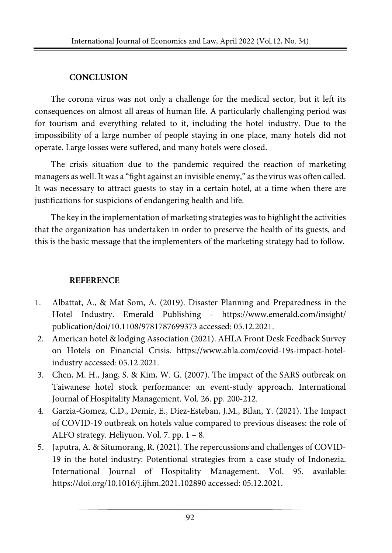## **CONCLUSION**

The corona virus was not only a challenge for the medical sector, but it left its consequences on almost all areas of human life. A particularly challenging period was for tourism and everything related to it, including the hotel industry. Due to the impossibility of a large number of people staying in one place, many hotels did not operate. Large losses were suffered, and many hotels were closed.

The crisis situation due to the pandemic required the reaction of marketing managers as well. It was a "fight against an invisible enemy," as the virus was often called. It was necessary to attract guests to stay in a certain hotel, at a time when there are justifications for suspicions of endangering health and life.

The key in the implementation of marketing strategies was to highlight the activities that the organization has undertaken in order to preserve the health of its guests, and this is the basic message that the implementers of the marketing strategy had to follow.

### **REFERENCE**

- 1. Albattat, A., & Mat Som, A. (2019). Disaster Planning and Preparedness in the Hotel Industry. Emerald Publishing - [https://www.emerald.com/insight/](https://www.emerald.com/insight/publication/doi/10.1108/9781787699373) [publication/doi/10.1108/9781787699373](https://www.emerald.com/insight/publication/doi/10.1108/9781787699373) accessed: 05.12.2021.
- 2. American hotel & lodging Association (2021). AHLA Front Desk Feedback Survey on Hotels on Financial Crisis. [https://www.ahla.com/covid-19s-impact-hotel](https://www.ahla.com/covid-19s-impact-hotel-industry)[industry](https://www.ahla.com/covid-19s-impact-hotel-industry) accessed: 05.12.2021.
- 3. Chen, M. H., Jang, S. & Kim, W. G. (2007). The impact of the SARS outbreak on Taiwanese hotel stock performance: an event-study approach. International Journal of Hospitality Management. Vol. 26. pp. 200-212.
- 4. Garzia-Gomez, C.D., Demir, E., Diez-Esteban, J.M., Bilan, Y. (2021). The Impact of COVID-19 outbreak on hotels value compared to previous diseases: the role of ALFO strategy. Heliyuon. Vol. 7. pp. 1 – 8.
- 5. Japutra, A. & Situmorang, R. (2021). The repercussions and challenges of COVID-19 in the hotel industry: Potentional strategies from a case study of Indonezia. International Journal of Hospitality Management. Vol. 95. available: <https://doi.org/10.1016/j.ijhm.2021.102890> accessed: 05.12.2021.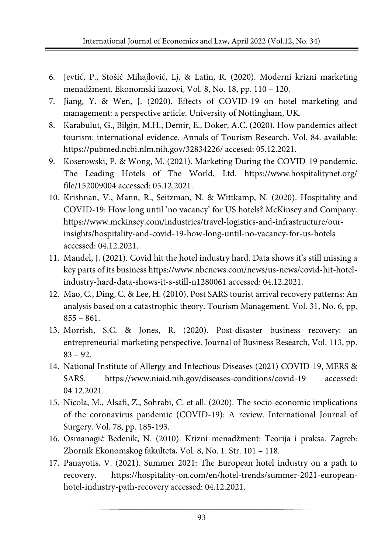- 6. Jevtić, P., Stošić Mihajlović, Lj. & Latin, R. (2020). Moderni krizni marketing menadžment. Ekonomski izazovi, Vol. 8, No. 18, pp. 110 – 120.
- 7. Jiang, Y. & Wen, J. (2020). Effects of COVID-19 on hotel marketing and management: a perspective article. University of Nottingham, UK.
- 8. Karabulut, G., Bilgin, M.H., Demir, E., Doker, A.C. (2020). How pandemics affect tourism: international evidence. Annals of Tourism Research. Vol. 84. available: <https://pubmed.ncbi.nlm.nih.gov/32834226/> accesed: 05.12.2021.
- 9. Koserowski, P. & Wong, M. (2021). Marketing During the COVID-19 pandemic. The Leading Hotels of The World, Ltd. [https://www.hospitalitynet.org/](https://www.hospitalitynet.org/file/152009004) [file/152009004](https://www.hospitalitynet.org/file/152009004) accessed: 05.12.2021.
- 10. Krishnan, V., Mann, R., Seitzman, N. & Wittkamp, N. (2020). Hospitality and COVID-19: How long until 'no vacancy' for US hotels? McKinsey and Company. [https://www.mckinsey.com/industries/travel-logistics-and-infrastructure/our](https://www.mckinsey.com/industries/travel-logistics-and-infrastructure/our-insights/hospitality-and-covid-19-how-long-until-no-vacancy-for-us-hotels)[insights/hospitality-and-covid-19-how-long-until-no-vacancy-for-us-hotels](https://www.mckinsey.com/industries/travel-logistics-and-infrastructure/our-insights/hospitality-and-covid-19-how-long-until-no-vacancy-for-us-hotels) accessed: 04.12.2021.
- 11. Mandel, J. (2021). Covid hit the hotel industry hard. Data shows it's still missing a key parts of its business [https://www.nbcnews.com/news/us-news/covid-hit-hotel](https://www.nbcnews.com/news/us-news/covid-hit-hotel-industry-hard-data-shows-it-s-still-n1280061)[industry-hard-data-shows-it-s-still-n1280061](https://www.nbcnews.com/news/us-news/covid-hit-hotel-industry-hard-data-shows-it-s-still-n1280061) accessed: 04.12.2021.
- 12. Mao, C., Ding, C. & Lee, H. (2010). Post SARS tourist arrival recovery patterns: An analysis based on a catastrophic theory. Tourism Management. Vol. 31, No. 6, pp.  $855 - 861.$
- 13. Morrish, S.C. & Jones, R. (2020). Post-disaster business recovery: an entrepreneurial marketing perspective. Journal of Business Research, Vol. 113, pp. 83 – 92.
- 14. National Institute of Allergy and Infectious Diseases (2021) COVID-19, MERS & SARS. <https://www.niaid.nih.gov/diseases-conditions/covid-19> accessed: 04.12.2021.
- 15. Nicola, M., Alsafi, Z., Sohrabi, C. et all. (2020). The socio-economic implications of the coronavirus pandemic (COVID-19): A review. International Journal of Surgery. Vol. 78, pp. 185-193.
- 16. Osmanagić Bedenik, N. (2010). Krizni menadžment: Teorija i praksa. Zagreb: Zbornik Ekonomskog fakulteta, Vol. 8, No. 1. Str. 101 – 118.
- 17. Panayotis, V. (2021). Summer 2021: The European hotel industry on a path to recovery. [https://hospitality-on.com/en/hotel-trends/summer-2021-european](https://hospitality-on.com/en/hotel-trends/summer-2021-european-hotel-industry-path-recovery)[hotel-industry-path-recovery](https://hospitality-on.com/en/hotel-trends/summer-2021-european-hotel-industry-path-recovery) accessed: 04.12.2021.